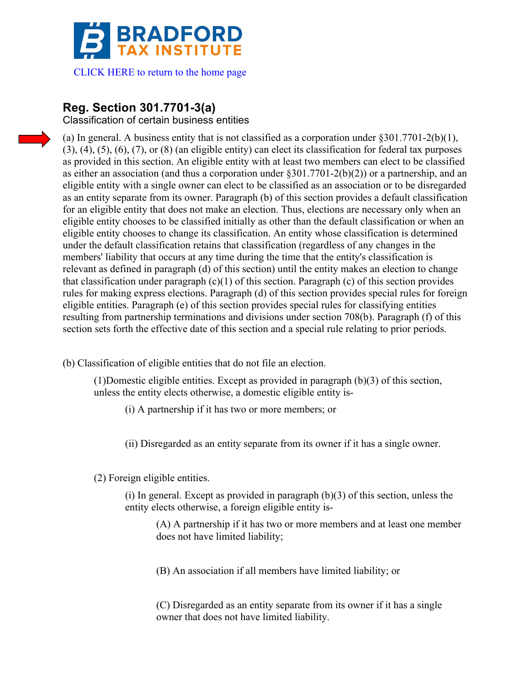

[CLICK HERE to return to the home page](www.bradfordtaxinstitute.com) 

# **Reg. Section 301.7701-3(a)**

Classification of certain business entities

(a) In general. A business entity that is not classified as a corporation under §301.7701-2(b)(1),  $(3)$ ,  $(4)$ ,  $(5)$ ,  $(6)$ ,  $(7)$ , or  $(8)$  (an eligible entity) can elect its classification for federal tax purposes as provided in this section. An eligible entity with at least two members can elect to be classified as either an association (and thus a corporation under  $§301.7701-2(b)(2)$ ) or a partnership, and an eligible entity with a single owner can elect to be classified as an association or to be disregarded as an entity separate from its owner. Paragraph (b) of this section provides a default classification for an eligible entity that does not make an election. Thus, elections are necessary only when an eligible entity chooses to be classified initially as other than the default classification or when an eligible entity chooses to change its classification. An entity whose classification is determined under the default classification retains that classification (regardless of any changes in the members' liability that occurs at any time during the time that the entity's classification is relevant as defined in paragraph (d) of this section) until the entity makes an election to change that classification under paragraph  $(c)(1)$  of this section. Paragraph  $(c)$  of this section provides rules for making express elections. Paragraph (d) of this section provides special rules for foreign eligible entities. Paragraph (e) of this section provides special rules for classifying entities resulting from partnership terminations and divisions under section 708(b). Paragraph (f) of this section sets forth the effective date of this section and a special rule relating to prior periods.

(b) Classification of eligible entities that do not file an election.

(1)Domestic eligible entities. Except as provided in paragraph (b)(3) of this section, unless the entity elects otherwise, a domestic eligible entity is-

(i) A partnership if it has two or more members; or

(ii) Disregarded as an entity separate from its owner if it has a single owner.

(2) Foreign eligible entities.

 $(i)$  In general. Except as provided in paragraph  $(b)(3)$  of this section, unless the entity elects otherwise, a foreign eligible entity is-

(A) A partnership if it has two or more members and at least one member does not have limited liability;

(B) An association if all members have limited liability; or

(C) Disregarded as an entity separate from its owner if it has a single owner that does not have limited liability.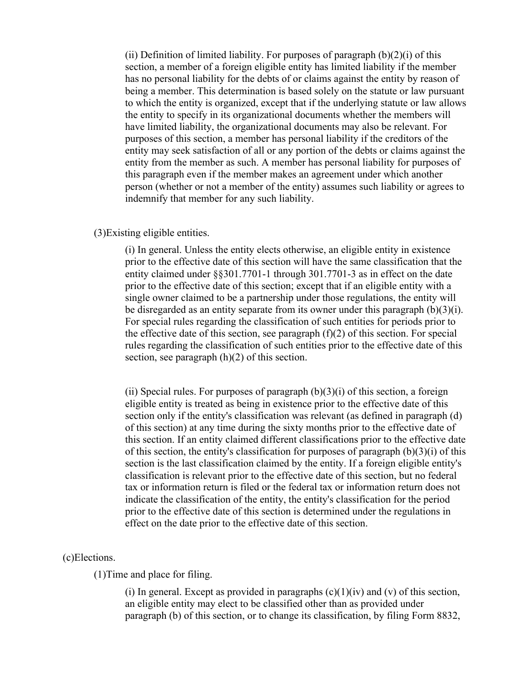(ii) Definition of limited liability. For purposes of paragraph  $(b)(2)(i)$  of this section, a member of a foreign eligible entity has limited liability if the member has no personal liability for the debts of or claims against the entity by reason of being a member. This determination is based solely on the statute or law pursuant to which the entity is organized, except that if the underlying statute or law allows the entity to specify in its organizational documents whether the members will have limited liability, the organizational documents may also be relevant. For purposes of this section, a member has personal liability if the creditors of the entity may seek satisfaction of all or any portion of the debts or claims against the entity from the member as such. A member has personal liability for purposes of this paragraph even if the member makes an agreement under which another person (whether or not a member of the entity) assumes such liability or agrees to indemnify that member for any such liability.

### (3)Existing eligible entities.

(i) In general. Unless the entity elects otherwise, an eligible entity in existence prior to the effective date of this section will have the same classification that the entity claimed under §§301.7701-1 through 301.7701-3 as in effect on the date prior to the effective date of this section; except that if an eligible entity with a single owner claimed to be a partnership under those regulations, the entity will be disregarded as an entity separate from its owner under this paragraph (b)(3)(i). For special rules regarding the classification of such entities for periods prior to the effective date of this section, see paragraph  $(f)(2)$  of this section. For special rules regarding the classification of such entities prior to the effective date of this section, see paragraph (h)(2) of this section.

(ii) Special rules. For purposes of paragraph  $(b)(3)(i)$  of this section, a foreign eligible entity is treated as being in existence prior to the effective date of this section only if the entity's classification was relevant (as defined in paragraph (d) of this section) at any time during the sixty months prior to the effective date of this section. If an entity claimed different classifications prior to the effective date of this section, the entity's classification for purposes of paragraph  $(b)(3)(i)$  of this section is the last classification claimed by the entity. If a foreign eligible entity's classification is relevant prior to the effective date of this section, but no federal tax or information return is filed or the federal tax or information return does not indicate the classification of the entity, the entity's classification for the period prior to the effective date of this section is determined under the regulations in effect on the date prior to the effective date of this section.

#### (c)Elections.

(1)Time and place for filing.

(i) In general. Except as provided in paragraphs  $(c)(1)(iv)$  and  $(v)$  of this section, an eligible entity may elect to be classified other than as provided under paragraph (b) of this section, or to change its classification, by filing Form 8832,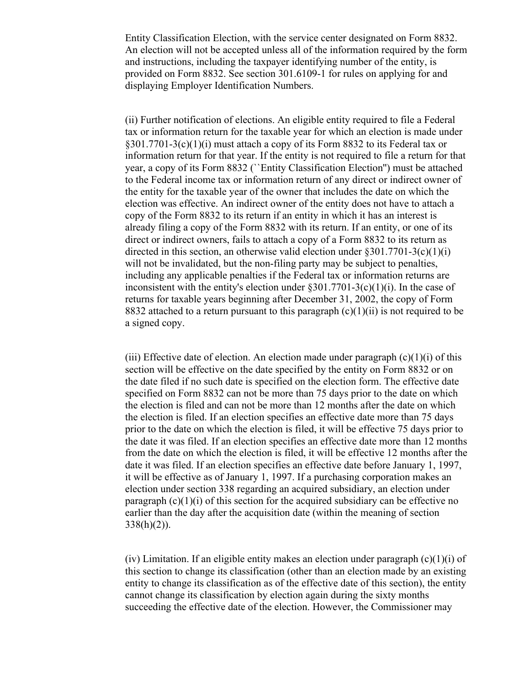Entity Classification Election, with the service center designated on Form 8832. An election will not be accepted unless all of the information required by the form and instructions, including the taxpayer identifying number of the entity, is provided on Form 8832. See section 301.6109-1 for rules on applying for and displaying Employer Identification Numbers.

(ii) Further notification of elections. An eligible entity required to file a Federal tax or information return for the taxable year for which an election is made under §301.7701-3(c)(1)(i) must attach a copy of its Form 8832 to its Federal tax or information return for that year. If the entity is not required to file a return for that year, a copy of its Form 8832 (``Entity Classification Election'') must be attached to the Federal income tax or information return of any direct or indirect owner of the entity for the taxable year of the owner that includes the date on which the election was effective. An indirect owner of the entity does not have to attach a copy of the Form 8832 to its return if an entity in which it has an interest is already filing a copy of the Form 8832 with its return. If an entity, or one of its direct or indirect owners, fails to attach a copy of a Form 8832 to its return as directed in this section, an otherwise valid election under §301.7701-3(c)(1)(i) will not be invalidated, but the non-filing party may be subject to penalties, including any applicable penalties if the Federal tax or information returns are inconsistent with the entity's election under  $\frac{8301.7701 - 3(c)(1)(i)}{i}$ . In the case of returns for taxable years beginning after December 31, 2002, the copy of Form 8832 attached to a return pursuant to this paragraph  $(c)(1)(ii)$  is not required to be a signed copy.

(iii) Effective date of election. An election made under paragraph  $(c)(1)(i)$  of this section will be effective on the date specified by the entity on Form 8832 or on the date filed if no such date is specified on the election form. The effective date specified on Form 8832 can not be more than 75 days prior to the date on which the election is filed and can not be more than 12 months after the date on which the election is filed. If an election specifies an effective date more than 75 days prior to the date on which the election is filed, it will be effective 75 days prior to the date it was filed. If an election specifies an effective date more than 12 months from the date on which the election is filed, it will be effective 12 months after the date it was filed. If an election specifies an effective date before January 1, 1997, it will be effective as of January 1, 1997. If a purchasing corporation makes an election under section 338 regarding an acquired subsidiary, an election under paragraph  $(c)(1)(i)$  of this section for the acquired subsidiary can be effective no earlier than the day after the acquisition date (within the meaning of section  $338(h)(2)$ ).

(iv) Limitation. If an eligible entity makes an election under paragraph  $(c)(1)(i)$  of this section to change its classification (other than an election made by an existing entity to change its classification as of the effective date of this section), the entity cannot change its classification by election again during the sixty months succeeding the effective date of the election. However, the Commissioner may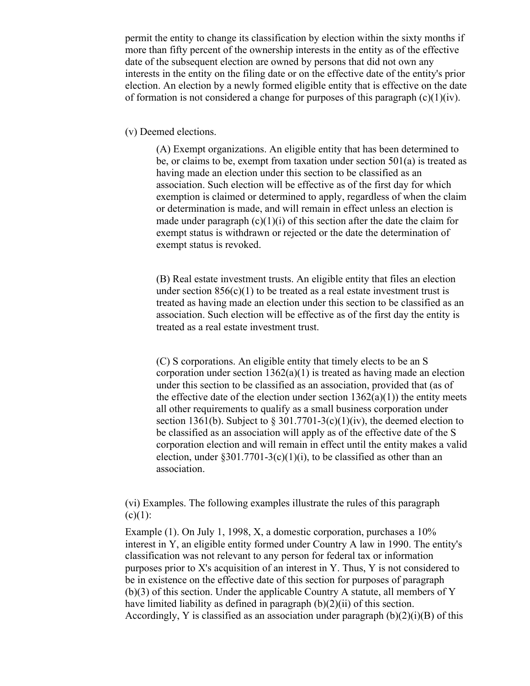permit the entity to change its classification by election within the sixty months if more than fifty percent of the ownership interests in the entity as of the effective date of the subsequent election are owned by persons that did not own any interests in the entity on the filing date or on the effective date of the entity's prior election. An election by a newly formed eligible entity that is effective on the date of formation is not considered a change for purposes of this paragraph  $(c)(1)(iv)$ .

#### (v) Deemed elections.

(A) Exempt organizations. An eligible entity that has been determined to be, or claims to be, exempt from taxation under section 501(a) is treated as having made an election under this section to be classified as an association. Such election will be effective as of the first day for which exemption is claimed or determined to apply, regardless of when the claim or determination is made, and will remain in effect unless an election is made under paragraph  $(c)(1)(i)$  of this section after the date the claim for exempt status is withdrawn or rejected or the date the determination of exempt status is revoked.

(B) Real estate investment trusts. An eligible entity that files an election under section  $856(c)(1)$  to be treated as a real estate investment trust is treated as having made an election under this section to be classified as an association. Such election will be effective as of the first day the entity is treated as a real estate investment trust.

(C) S corporations. An eligible entity that timely elects to be an S corporation under section 1362(a)(1) is treated as having made an election under this section to be classified as an association, provided that (as of the effective date of the election under section  $1362(a)(1)$ ) the entity meets all other requirements to qualify as a small business corporation under section 1361(b). Subject to  $\S 301.7701-3(c)(1)(iv)$ , the deemed election to be classified as an association will apply as of the effective date of the S corporation election and will remain in effect until the entity makes a valid election, under  $\S 301.7701-3(c)(1)(i)$ , to be classified as other than an association.

(vi) Examples. The following examples illustrate the rules of this paragraph  $(c)(1)$ :

Example (1). On July 1, 1998, X, a domestic corporation, purchases a 10% interest in Y, an eligible entity formed under Country A law in 1990. The entity's classification was not relevant to any person for federal tax or information purposes prior to X's acquisition of an interest in Y. Thus, Y is not considered to be in existence on the effective date of this section for purposes of paragraph (b)(3) of this section. Under the applicable Country A statute, all members of Y have limited liability as defined in paragraph (b)(2)(ii) of this section. Accordingly, Y is classified as an association under paragraph  $(b)(2)(i)(B)$  of this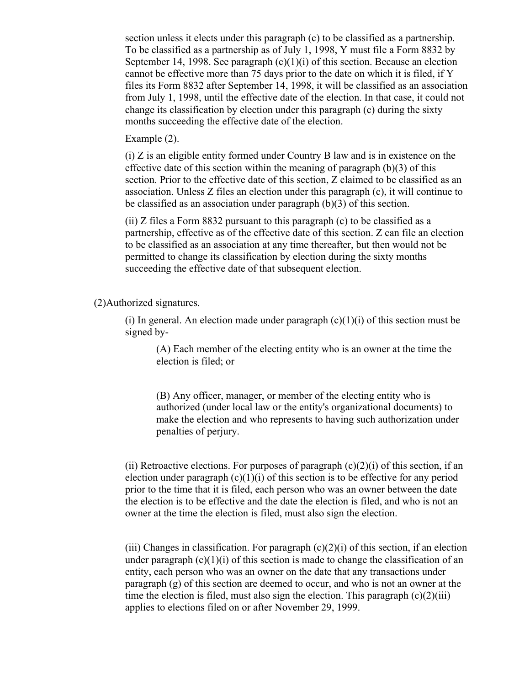section unless it elects under this paragraph (c) to be classified as a partnership. To be classified as a partnership as of July 1, 1998, Y must file a Form 8832 by September 14, 1998. See paragraph  $(c)(1)(i)$  of this section. Because an election cannot be effective more than 75 days prior to the date on which it is filed, if Y files its Form 8832 after September 14, 1998, it will be classified as an association from July 1, 1998, until the effective date of the election. In that case, it could not change its classification by election under this paragraph (c) during the sixty months succeeding the effective date of the election.

Example (2).

(i) Z is an eligible entity formed under Country B law and is in existence on the effective date of this section within the meaning of paragraph  $(b)(3)$  of this section. Prior to the effective date of this section, Z claimed to be classified as an association. Unless Z files an election under this paragraph (c), it will continue to be classified as an association under paragraph (b)(3) of this section.

(ii) Z files a Form 8832 pursuant to this paragraph (c) to be classified as a partnership, effective as of the effective date of this section. Z can file an election to be classified as an association at any time thereafter, but then would not be permitted to change its classification by election during the sixty months succeeding the effective date of that subsequent election.

(2)Authorized signatures.

(i) In general. An election made under paragraph  $(c)(1)(i)$  of this section must be signed by-

(A) Each member of the electing entity who is an owner at the time the election is filed; or

(B) Any officer, manager, or member of the electing entity who is authorized (under local law or the entity's organizational documents) to make the election and who represents to having such authorization under penalties of perjury.

(ii) Retroactive elections. For purposes of paragraph  $(c)(2)(i)$  of this section, if an election under paragraph  $(c)(1)(i)$  of this section is to be effective for any period prior to the time that it is filed, each person who was an owner between the date the election is to be effective and the date the election is filed, and who is not an owner at the time the election is filed, must also sign the election.

(iii) Changes in classification. For paragraph  $(c)(2)(i)$  of this section, if an election under paragraph  $(c)(1)(i)$  of this section is made to change the classification of an entity, each person who was an owner on the date that any transactions under paragraph (g) of this section are deemed to occur, and who is not an owner at the time the election is filed, must also sign the election. This paragraph  $(c)(2)(iii)$ applies to elections filed on or after November 29, 1999.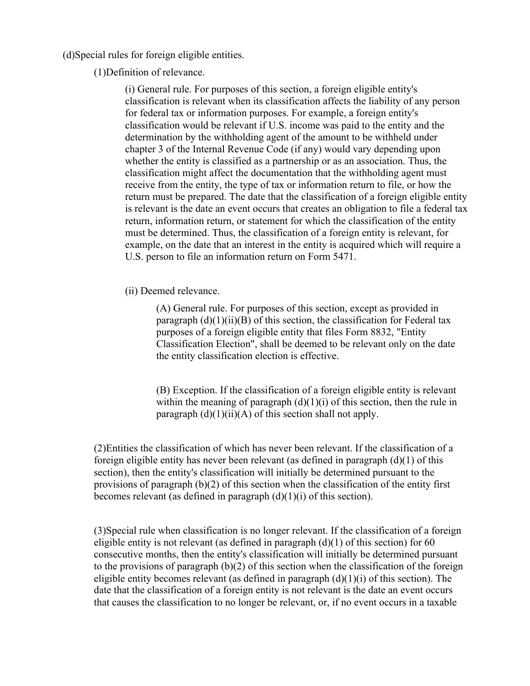(d)Special rules for foreign eligible entities.

(1)Definition of relevance.

(i) General rule. For purposes of this section, a foreign eligible entity's classification is relevant when its classification affects the liability of any person for federal tax or information purposes. For example, a foreign entity's classification would be relevant if U.S. income was paid to the entity and the determination by the withholding agent of the amount to be withheld under chapter 3 of the Internal Revenue Code (if any) would vary depending upon whether the entity is classified as a partnership or as an association. Thus, the classification might affect the documentation that the withholding agent must receive from the entity, the type of tax or information return to file, or how the return must be prepared. The date that the classification of a foreign eligible entity is relevant is the date an event occurs that creates an obligation to file a federal tax return, information return, or statement for which the classification of the entity must be determined. Thus, the classification of a foreign entity is relevant, for example, on the date that an interest in the entity is acquired which will require a U.S. person to file an information return on Form 5471.

(ii) Deemed relevance.

(A) General rule. For purposes of this section, except as provided in paragraph  $(d)(1)(ii)(B)$  of this section, the classification for Federal tax purposes of a foreign eligible entity that files Form 8832, "Entity Classification Election", shall be deemed to be relevant only on the date the entity classification election is effective.

(B) Exception. If the classification of a foreign eligible entity is relevant within the meaning of paragraph  $(d)(1)(i)$  of this section, then the rule in paragraph  $(d)(1)(ii)(A)$  of this section shall not apply.

(2)Entities the classification of which has never been relevant. If the classification of a foreign eligible entity has never been relevant (as defined in paragraph  $(d)(1)$  of this section), then the entity's classification will initially be determined pursuant to the provisions of paragraph (b)(2) of this section when the classification of the entity first becomes relevant (as defined in paragraph  $(d)(1)(i)$  of this section).

(3)Special rule when classification is no longer relevant. If the classification of a foreign eligible entity is not relevant (as defined in paragraph  $(d)(1)$  of this section) for 60 consecutive months, then the entity's classification will initially be determined pursuant to the provisions of paragraph  $(b)(2)$  of this section when the classification of the foreign eligible entity becomes relevant (as defined in paragraph  $(d)(1)(i)$  of this section). The date that the classification of a foreign entity is not relevant is the date an event occurs that causes the classification to no longer be relevant, or, if no event occurs in a taxable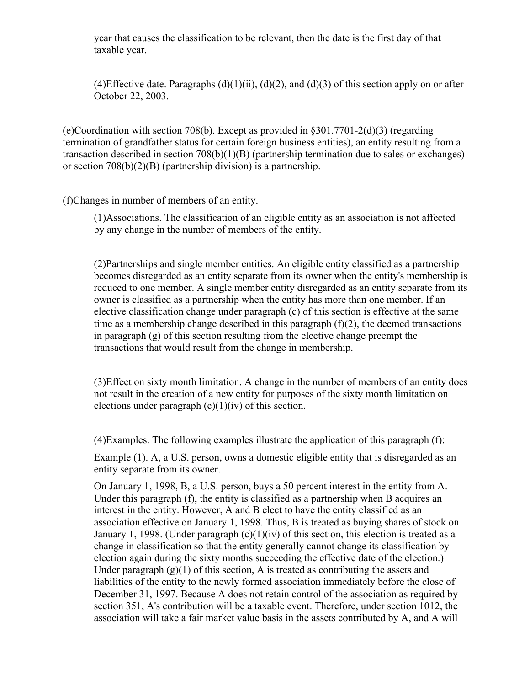year that causes the classification to be relevant, then the date is the first day of that taxable year.

(4)Effective date. Paragraphs  $(d)(1)(ii)$ ,  $(d)(2)$ , and  $(d)(3)$  of this section apply on or after October 22, 2003.

(e)Coordination with section 708(b). Except as provided in §301.7701-2(d)(3) (regarding termination of grandfather status for certain foreign business entities), an entity resulting from a transaction described in section 708(b)(1)(B) (partnership termination due to sales or exchanges) or section 708(b)(2)(B) (partnership division) is a partnership.

(f)Changes in number of members of an entity.

(1)Associations. The classification of an eligible entity as an association is not affected by any change in the number of members of the entity.

(2)Partnerships and single member entities. An eligible entity classified as a partnership becomes disregarded as an entity separate from its owner when the entity's membership is reduced to one member. A single member entity disregarded as an entity separate from its owner is classified as a partnership when the entity has more than one member. If an elective classification change under paragraph (c) of this section is effective at the same time as a membership change described in this paragraph  $(f)(2)$ , the deemed transactions in paragraph (g) of this section resulting from the elective change preempt the transactions that would result from the change in membership.

(3)Effect on sixty month limitation. A change in the number of members of an entity does not result in the creation of a new entity for purposes of the sixty month limitation on elections under paragraph  $(c)(1)(iv)$  of this section.

(4)Examples. The following examples illustrate the application of this paragraph (f):

Example (1). A, a U.S. person, owns a domestic eligible entity that is disregarded as an entity separate from its owner.

On January 1, 1998, B, a U.S. person, buys a 50 percent interest in the entity from A. Under this paragraph (f), the entity is classified as a partnership when B acquires an interest in the entity. However, A and B elect to have the entity classified as an association effective on January 1, 1998. Thus, B is treated as buying shares of stock on January 1, 1998. (Under paragraph  $(c)(1)(iv)$  of this section, this election is treated as a change in classification so that the entity generally cannot change its classification by election again during the sixty months succeeding the effective date of the election.) Under paragraph  $(g)(1)$  of this section, A is treated as contributing the assets and liabilities of the entity to the newly formed association immediately before the close of December 31, 1997. Because A does not retain control of the association as required by section 351, A's contribution will be a taxable event. Therefore, under section 1012, the association will take a fair market value basis in the assets contributed by A, and A will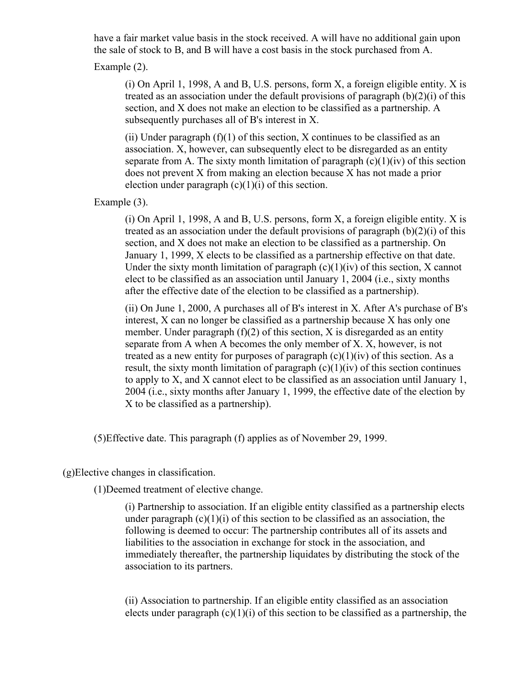have a fair market value basis in the stock received. A will have no additional gain upon the sale of stock to B, and B will have a cost basis in the stock purchased from A.

Example (2).

(i) On April 1, 1998, A and B, U.S. persons, form X, a foreign eligible entity. X is treated as an association under the default provisions of paragraph (b)(2)(i) of this section, and X does not make an election to be classified as a partnership. A subsequently purchases all of B's interest in X.

(ii) Under paragraph  $(f)(1)$  of this section, X continues to be classified as an association. X, however, can subsequently elect to be disregarded as an entity separate from A. The sixty month limitation of paragraph  $(c)(1)(iv)$  of this section does not prevent X from making an election because X has not made a prior election under paragraph  $(c)(1)(i)$  of this section.

Example (3).

(i) On April 1, 1998, A and B, U.S. persons, form X, a foreign eligible entity. X is treated as an association under the default provisions of paragraph  $(b)(2)(i)$  of this section, and X does not make an election to be classified as a partnership. On January 1, 1999, X elects to be classified as a partnership effective on that date. Under the sixty month limitation of paragraph  $(c)(1)(iv)$  of this section, X cannot elect to be classified as an association until January 1, 2004 (i.e., sixty months after the effective date of the election to be classified as a partnership).

(ii) On June 1, 2000, A purchases all of B's interest in X. After A's purchase of B's interest, X can no longer be classified as a partnership because X has only one member. Under paragraph  $(f)(2)$  of this section, X is disregarded as an entity separate from A when A becomes the only member of X. X, however, is not treated as a new entity for purposes of paragraph  $(c)(1)(iv)$  of this section. As a result, the sixty month limitation of paragraph  $(c)(1)(iv)$  of this section continues to apply to X, and X cannot elect to be classified as an association until January 1, 2004 (i.e., sixty months after January 1, 1999, the effective date of the election by X to be classified as a partnership).

(5)Effective date. This paragraph (f) applies as of November 29, 1999.

(g)Elective changes in classification.

(1)Deemed treatment of elective change.

(i) Partnership to association. If an eligible entity classified as a partnership elects under paragraph  $(c)(1)(i)$  of this section to be classified as an association, the following is deemed to occur: The partnership contributes all of its assets and liabilities to the association in exchange for stock in the association, and immediately thereafter, the partnership liquidates by distributing the stock of the association to its partners.

(ii) Association to partnership. If an eligible entity classified as an association elects under paragraph  $(c)(1)(i)$  of this section to be classified as a partnership, the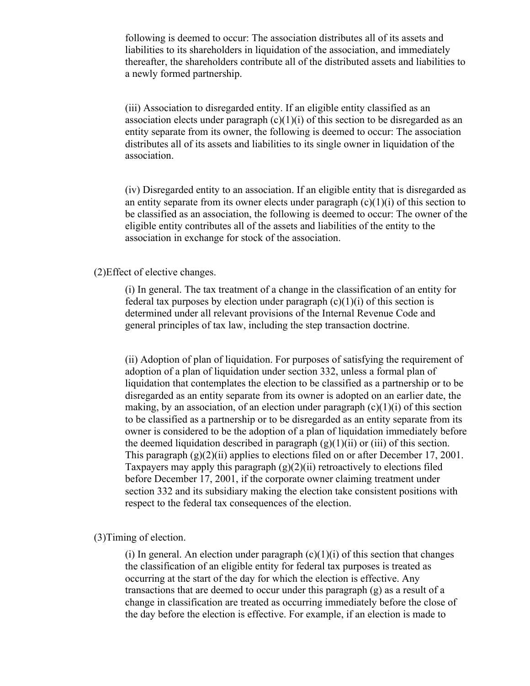following is deemed to occur: The association distributes all of its assets and liabilities to its shareholders in liquidation of the association, and immediately thereafter, the shareholders contribute all of the distributed assets and liabilities to a newly formed partnership.

(iii) Association to disregarded entity. If an eligible entity classified as an association elects under paragraph  $(c)(1)(i)$  of this section to be disregarded as an entity separate from its owner, the following is deemed to occur: The association distributes all of its assets and liabilities to its single owner in liquidation of the association.

(iv) Disregarded entity to an association. If an eligible entity that is disregarded as an entity separate from its owner elects under paragraph  $(c)(1)(i)$  of this section to be classified as an association, the following is deemed to occur: The owner of the eligible entity contributes all of the assets and liabilities of the entity to the association in exchange for stock of the association.

## (2)Effect of elective changes.

(i) In general. The tax treatment of a change in the classification of an entity for federal tax purposes by election under paragraph  $(c)(1)(i)$  of this section is determined under all relevant provisions of the Internal Revenue Code and general principles of tax law, including the step transaction doctrine.

(ii) Adoption of plan of liquidation. For purposes of satisfying the requirement of adoption of a plan of liquidation under section 332, unless a formal plan of liquidation that contemplates the election to be classified as a partnership or to be disregarded as an entity separate from its owner is adopted on an earlier date, the making, by an association, of an election under paragraph  $(c)(1)(i)$  of this section to be classified as a partnership or to be disregarded as an entity separate from its owner is considered to be the adoption of a plan of liquidation immediately before the deemed liquidation described in paragraph  $(g)(1)(ii)$  or (iii) of this section. This paragraph  $(g)(2)(ii)$  applies to elections filed on or after December 17, 2001. Taxpayers may apply this paragraph  $(g)(2)(ii)$  retroactively to elections filed before December 17, 2001, if the corporate owner claiming treatment under section 332 and its subsidiary making the election take consistent positions with respect to the federal tax consequences of the election.

#### (3)Timing of election.

(i) In general. An election under paragraph  $(c)(1)(i)$  of this section that changes the classification of an eligible entity for federal tax purposes is treated as occurring at the start of the day for which the election is effective. Any transactions that are deemed to occur under this paragraph (g) as a result of a change in classification are treated as occurring immediately before the close of the day before the election is effective. For example, if an election is made to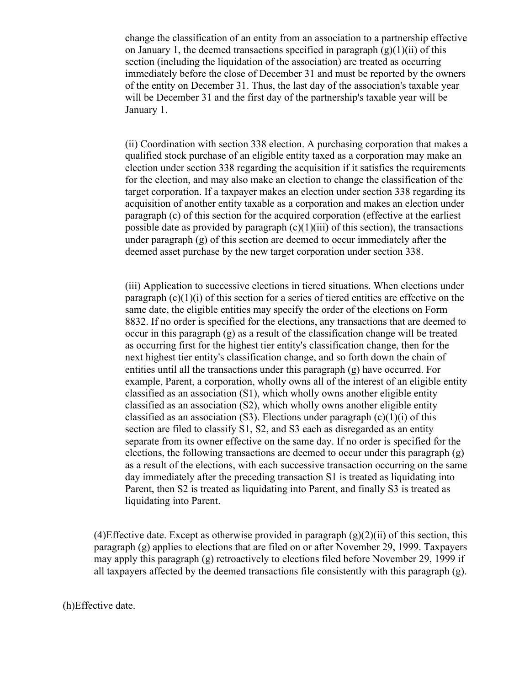change the classification of an entity from an association to a partnership effective on January 1, the deemed transactions specified in paragraph  $(g)(1)(ii)$  of this section (including the liquidation of the association) are treated as occurring immediately before the close of December 31 and must be reported by the owners of the entity on December 31. Thus, the last day of the association's taxable year will be December 31 and the first day of the partnership's taxable year will be January 1.

(ii) Coordination with section 338 election. A purchasing corporation that makes a qualified stock purchase of an eligible entity taxed as a corporation may make an election under section 338 regarding the acquisition if it satisfies the requirements for the election, and may also make an election to change the classification of the target corporation. If a taxpayer makes an election under section 338 regarding its acquisition of another entity taxable as a corporation and makes an election under paragraph (c) of this section for the acquired corporation (effective at the earliest possible date as provided by paragraph  $(c)(1)(iii)$  of this section), the transactions under paragraph (g) of this section are deemed to occur immediately after the deemed asset purchase by the new target corporation under section 338.

(iii) Application to successive elections in tiered situations. When elections under paragraph  $(c)(1)(i)$  of this section for a series of tiered entities are effective on the same date, the eligible entities may specify the order of the elections on Form 8832. If no order is specified for the elections, any transactions that are deemed to occur in this paragraph (g) as a result of the classification change will be treated as occurring first for the highest tier entity's classification change, then for the next highest tier entity's classification change, and so forth down the chain of entities until all the transactions under this paragraph (g) have occurred. For example, Parent, a corporation, wholly owns all of the interest of an eligible entity classified as an association (S1), which wholly owns another eligible entity classified as an association (S2), which wholly owns another eligible entity classified as an association (S3). Elections under paragraph  $(c)(1)(i)$  of this section are filed to classify S1, S2, and S3 each as disregarded as an entity separate from its owner effective on the same day. If no order is specified for the elections, the following transactions are deemed to occur under this paragraph (g) as a result of the elections, with each successive transaction occurring on the same day immediately after the preceding transaction S1 is treated as liquidating into Parent, then S2 is treated as liquidating into Parent, and finally S3 is treated as liquidating into Parent.

(4) Effective date. Except as otherwise provided in paragraph  $(g)(2)(ii)$  of this section, this paragraph (g) applies to elections that are filed on or after November 29, 1999. Taxpayers may apply this paragraph (g) retroactively to elections filed before November 29, 1999 if all taxpayers affected by the deemed transactions file consistently with this paragraph (g).

(h)Effective date.